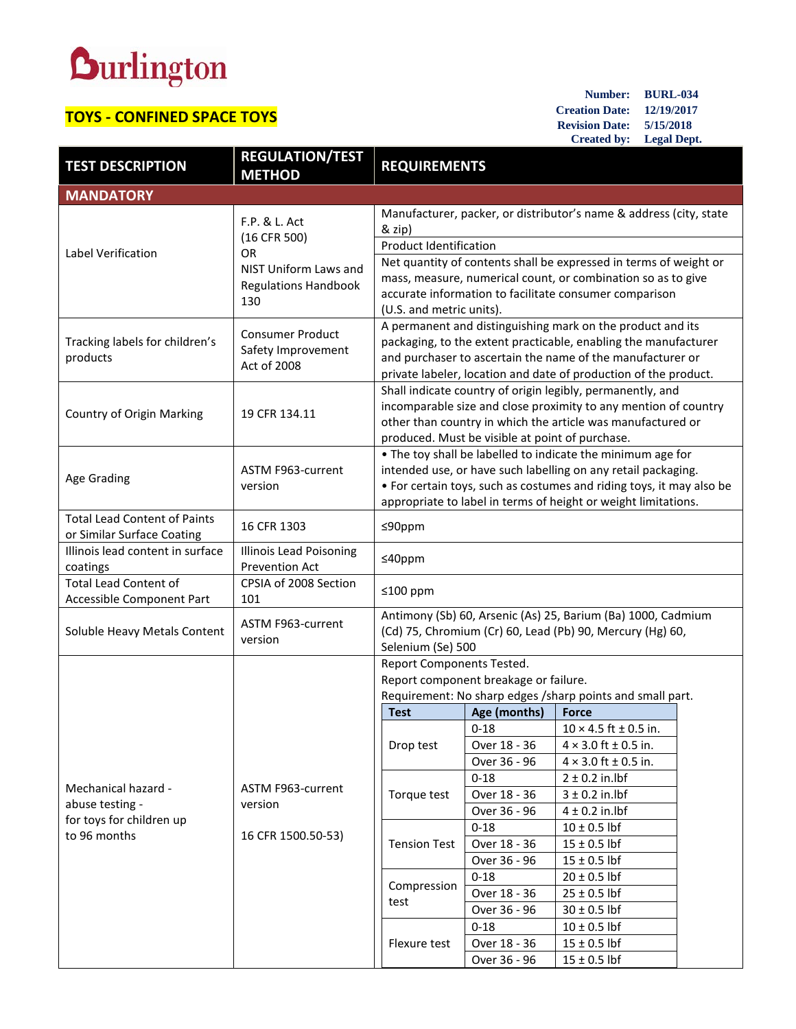## **Durlington**

## **TOYS - CONFINED SPACE TOYS**

**Number: BURL-034 Creation Date: 12/19/2017 Revision Date: 5/15/2018 Created by: Legal Dept.**

| <b>TEST DESCRIPTION</b>                                                                                                                  | <b>REGULATION/TEST</b><br><b>METHOD</b>                      | <b>REQUIREMENTS</b>                                                                                                                            |                          |                                                                    |  |  |                                       |  |  |  |
|------------------------------------------------------------------------------------------------------------------------------------------|--------------------------------------------------------------|------------------------------------------------------------------------------------------------------------------------------------------------|--------------------------|--------------------------------------------------------------------|--|--|---------------------------------------|--|--|--|
| <b>MANDATORY</b>                                                                                                                         |                                                              |                                                                                                                                                |                          |                                                                    |  |  |                                       |  |  |  |
|                                                                                                                                          |                                                              |                                                                                                                                                |                          | Manufacturer, packer, or distributor's name & address (city, state |  |  |                                       |  |  |  |
| Label Verification                                                                                                                       | F.P. & L. Act<br>(16 CFR 500)<br><b>OR</b>                   | & zip)                                                                                                                                         |                          |                                                                    |  |  |                                       |  |  |  |
|                                                                                                                                          |                                                              | <b>Product Identification</b>                                                                                                                  |                          |                                                                    |  |  |                                       |  |  |  |
|                                                                                                                                          | NIST Uniform Laws and<br><b>Regulations Handbook</b><br>130  | Net quantity of contents shall be expressed in terms of weight or                                                                              |                          |                                                                    |  |  |                                       |  |  |  |
|                                                                                                                                          |                                                              | mass, measure, numerical count, or combination so as to give                                                                                   |                          |                                                                    |  |  |                                       |  |  |  |
|                                                                                                                                          |                                                              | accurate information to facilitate consumer comparison                                                                                         |                          |                                                                    |  |  |                                       |  |  |  |
|                                                                                                                                          |                                                              | (U.S. and metric units).                                                                                                                       |                          |                                                                    |  |  |                                       |  |  |  |
|                                                                                                                                          | <b>Consumer Product</b><br>Safety Improvement<br>Act of 2008 | A permanent and distinguishing mark on the product and its                                                                                     |                          |                                                                    |  |  |                                       |  |  |  |
| Tracking labels for children's                                                                                                           |                                                              | packaging, to the extent practicable, enabling the manufacturer                                                                                |                          |                                                                    |  |  |                                       |  |  |  |
| products                                                                                                                                 |                                                              | and purchaser to ascertain the name of the manufacturer or<br>private labeler, location and date of production of the product.                 |                          |                                                                    |  |  |                                       |  |  |  |
|                                                                                                                                          |                                                              |                                                                                                                                                |                          |                                                                    |  |  |                                       |  |  |  |
|                                                                                                                                          | 19 CFR 134.11                                                | Shall indicate country of origin legibly, permanently, and<br>incomparable size and close proximity to any mention of country                  |                          |                                                                    |  |  |                                       |  |  |  |
| <b>Country of Origin Marking</b>                                                                                                         |                                                              | other than country in which the article was manufactured or                                                                                    |                          |                                                                    |  |  |                                       |  |  |  |
|                                                                                                                                          |                                                              | produced. Must be visible at point of purchase.                                                                                                |                          |                                                                    |  |  |                                       |  |  |  |
|                                                                                                                                          | ASTM F963-current<br>version                                 | . The toy shall be labelled to indicate the minimum age for                                                                                    |                          |                                                                    |  |  |                                       |  |  |  |
| Age Grading                                                                                                                              |                                                              | intended use, or have such labelling on any retail packaging.                                                                                  |                          |                                                                    |  |  |                                       |  |  |  |
|                                                                                                                                          |                                                              | • For certain toys, such as costumes and riding toys, it may also be                                                                           |                          |                                                                    |  |  |                                       |  |  |  |
|                                                                                                                                          |                                                              |                                                                                                                                                |                          | appropriate to label in terms of height or weight limitations.     |  |  |                                       |  |  |  |
| <b>Total Lead Content of Paints</b>                                                                                                      | 16 CFR 1303                                                  | ≤90ppm                                                                                                                                         |                          |                                                                    |  |  |                                       |  |  |  |
| or Similar Surface Coating                                                                                                               |                                                              |                                                                                                                                                |                          |                                                                    |  |  |                                       |  |  |  |
| Illinois lead content in surface                                                                                                         | <b>Illinois Lead Poisoning</b><br>Prevention Act             | ≤40ppm                                                                                                                                         |                          |                                                                    |  |  |                                       |  |  |  |
| coatings<br><b>Total Lead Content of</b>                                                                                                 | CPSIA of 2008 Section                                        |                                                                                                                                                |                          |                                                                    |  |  |                                       |  |  |  |
| Accessible Component Part                                                                                                                | 101                                                          | ≤100 ppm                                                                                                                                       |                          |                                                                    |  |  |                                       |  |  |  |
| Soluble Heavy Metals Content                                                                                                             | ASTM F963-current<br>version                                 | Antimony (Sb) 60, Arsenic (As) 25, Barium (Ba) 1000, Cadmium<br>(Cd) 75, Chromium (Cr) 60, Lead (Pb) 90, Mercury (Hg) 60,<br>Selenium (Se) 500 |                          |                                                                    |  |  |                                       |  |  |  |
|                                                                                                                                          |                                                              |                                                                                                                                                |                          |                                                                    |  |  | Report Components Tested.             |  |  |  |
|                                                                                                                                          |                                                              |                                                                                                                                                |                          |                                                                    |  |  | Report component breakage or failure. |  |  |  |
|                                                                                                                                          | Requirement: No sharp edges /sharp points and small part.    |                                                                                                                                                |                          |                                                                    |  |  |                                       |  |  |  |
|                                                                                                                                          |                                                              | <b>Test</b>                                                                                                                                    | Age (months)<br>$0 - 18$ | <b>Force</b>                                                       |  |  |                                       |  |  |  |
| Mechanical hazard -<br>ASTM F963-current<br>abuse testing -<br>version<br>for toys for children up<br>to 96 months<br>16 CFR 1500.50-53) |                                                              | Drop test                                                                                                                                      | Over 18 - 36             | $10 \times 4.5$ ft $\pm 0.5$ in.<br>$4 \times 3.0$ ft ± 0.5 in.    |  |  |                                       |  |  |  |
|                                                                                                                                          |                                                              |                                                                                                                                                | Over 36 - 96             | $4 \times 3.0$ ft ± 0.5 in.                                        |  |  |                                       |  |  |  |
|                                                                                                                                          |                                                              |                                                                                                                                                | $0 - 18$                 | $2 \pm 0.2$ in.lbf                                                 |  |  |                                       |  |  |  |
|                                                                                                                                          | Torque test                                                  | Over 18 - 36                                                                                                                                   | $3 \pm 0.2$ in.lbf       |                                                                    |  |  |                                       |  |  |  |
|                                                                                                                                          |                                                              |                                                                                                                                                | Over 36 - 96             | $4 \pm 0.2$ in.lbf                                                 |  |  |                                       |  |  |  |
|                                                                                                                                          |                                                              | <b>Tension Test</b>                                                                                                                            | $0 - 18$                 | $10 \pm 0.5$ lbf                                                   |  |  |                                       |  |  |  |
|                                                                                                                                          |                                                              |                                                                                                                                                | Over 18 - 36             | $15 \pm 0.5$ lbf                                                   |  |  |                                       |  |  |  |
|                                                                                                                                          |                                                              |                                                                                                                                                | Over 36 - 96             | $15 \pm 0.5$ lbf                                                   |  |  |                                       |  |  |  |
|                                                                                                                                          |                                                              | Compression<br>test                                                                                                                            | $0 - 18$                 | $20 \pm 0.5$ lbf                                                   |  |  |                                       |  |  |  |
|                                                                                                                                          |                                                              |                                                                                                                                                | Over 18 - 36             | $25 \pm 0.5$ lbf                                                   |  |  |                                       |  |  |  |
|                                                                                                                                          |                                                              |                                                                                                                                                | Over 36 - 96             | $30 \pm 0.5$ lbf                                                   |  |  |                                       |  |  |  |
|                                                                                                                                          |                                                              | Flexure test                                                                                                                                   | $0 - 18$                 | $10 \pm 0.5$ lbf                                                   |  |  |                                       |  |  |  |
|                                                                                                                                          |                                                              |                                                                                                                                                | Over 18 - 36             | $15 \pm 0.5$ lbf                                                   |  |  |                                       |  |  |  |
|                                                                                                                                          |                                                              |                                                                                                                                                | Over 36 - 96             | $15 \pm 0.5$ lbf                                                   |  |  |                                       |  |  |  |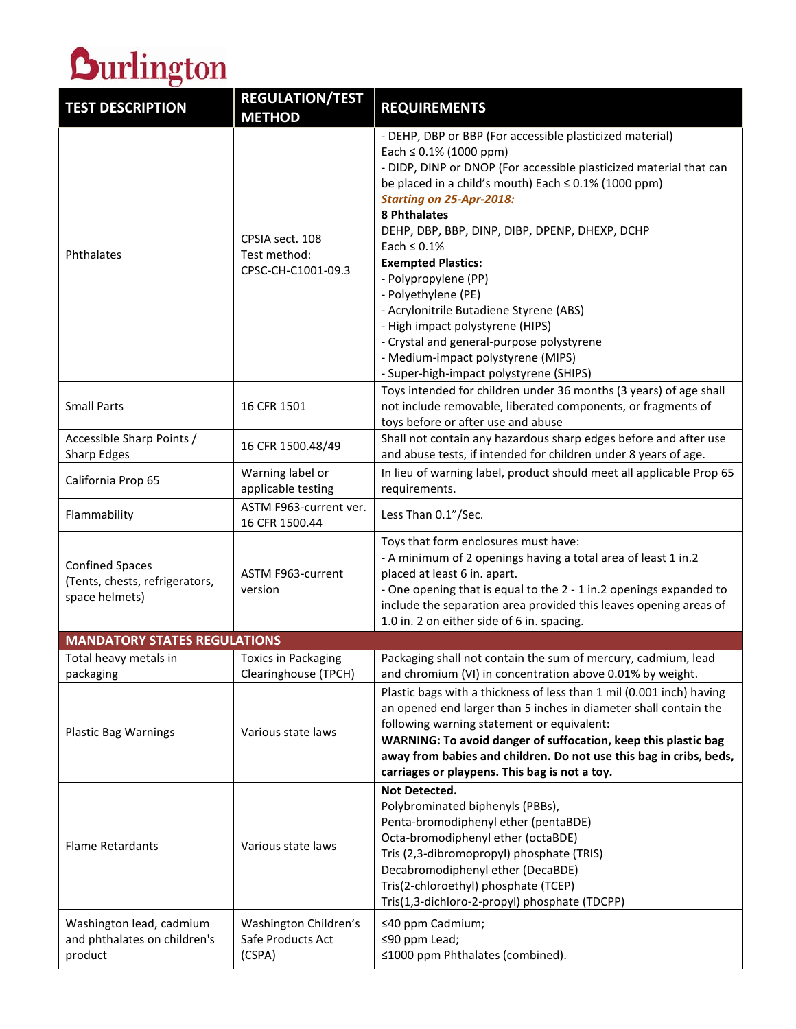

| <b>TEST DESCRIPTION</b>                                                    | <b>REGULATION/TEST</b><br><b>METHOD</b>               | <b>REQUIREMENTS</b>                                                                                                                                                                                                                                                                                                                                                                                                                                                                                                                                                                                                                            |
|----------------------------------------------------------------------------|-------------------------------------------------------|------------------------------------------------------------------------------------------------------------------------------------------------------------------------------------------------------------------------------------------------------------------------------------------------------------------------------------------------------------------------------------------------------------------------------------------------------------------------------------------------------------------------------------------------------------------------------------------------------------------------------------------------|
| Phthalates                                                                 | CPSIA sect. 108<br>Test method:<br>CPSC-CH-C1001-09.3 | - DEHP, DBP or BBP (For accessible plasticized material)<br>Each $\leq 0.1\%$ (1000 ppm)<br>- DIDP, DINP or DNOP (For accessible plasticized material that can<br>be placed in a child's mouth) Each $\leq$ 0.1% (1000 ppm)<br><b>Starting on 25-Apr-2018:</b><br>8 Phthalates<br>DEHP, DBP, BBP, DINP, DIBP, DPENP, DHEXP, DCHP<br>Each $\leq 0.1\%$<br><b>Exempted Plastics:</b><br>- Polypropylene (PP)<br>- Polyethylene (PE)<br>- Acrylonitrile Butadiene Styrene (ABS)<br>- High impact polystyrene (HIPS)<br>- Crystal and general-purpose polystyrene<br>- Medium-impact polystyrene (MIPS)<br>- Super-high-impact polystyrene (SHIPS) |
| <b>Small Parts</b>                                                         | 16 CFR 1501                                           | Toys intended for children under 36 months (3 years) of age shall<br>not include removable, liberated components, or fragments of<br>toys before or after use and abuse                                                                                                                                                                                                                                                                                                                                                                                                                                                                        |
| Accessible Sharp Points /<br><b>Sharp Edges</b>                            | 16 CFR 1500.48/49                                     | Shall not contain any hazardous sharp edges before and after use<br>and abuse tests, if intended for children under 8 years of age.                                                                                                                                                                                                                                                                                                                                                                                                                                                                                                            |
| California Prop 65                                                         | Warning label or<br>applicable testing                | In lieu of warning label, product should meet all applicable Prop 65<br>requirements.                                                                                                                                                                                                                                                                                                                                                                                                                                                                                                                                                          |
| Flammability                                                               | ASTM F963-current ver.<br>16 CFR 1500.44              | Less Than 0.1"/Sec.                                                                                                                                                                                                                                                                                                                                                                                                                                                                                                                                                                                                                            |
| <b>Confined Spaces</b><br>(Tents, chests, refrigerators,<br>space helmets) | ASTM F963-current<br>version                          | Toys that form enclosures must have:<br>- A minimum of 2 openings having a total area of least 1 in.2<br>placed at least 6 in. apart.<br>- One opening that is equal to the 2 - 1 in.2 openings expanded to<br>include the separation area provided this leaves opening areas of<br>1.0 in. 2 on either side of 6 in. spacing.                                                                                                                                                                                                                                                                                                                 |
| <b>MANDATORY STATES REGULATIONS</b>                                        |                                                       |                                                                                                                                                                                                                                                                                                                                                                                                                                                                                                                                                                                                                                                |
| Total heavy metals in<br>packaging                                         | <b>Toxics in Packaging</b><br>Clearinghouse (TPCH)    | Packaging shall not contain the sum of mercury, cadmium, lead<br>and chromium (VI) in concentration above 0.01% by weight.                                                                                                                                                                                                                                                                                                                                                                                                                                                                                                                     |
| <b>Plastic Bag Warnings</b>                                                | Various state laws                                    | Plastic bags with a thickness of less than 1 mil (0.001 inch) having<br>an opened end larger than 5 inches in diameter shall contain the<br>following warning statement or equivalent:<br>WARNING: To avoid danger of suffocation, keep this plastic bag<br>away from babies and children. Do not use this bag in cribs, beds,<br>carriages or playpens. This bag is not a toy.                                                                                                                                                                                                                                                                |
| <b>Flame Retardants</b>                                                    | Various state laws                                    | Not Detected.<br>Polybrominated biphenyls (PBBs),<br>Penta-bromodiphenyl ether (pentaBDE)<br>Octa-bromodiphenyl ether (octaBDE)<br>Tris (2,3-dibromopropyl) phosphate (TRIS)<br>Decabromodiphenyl ether (DecaBDE)<br>Tris(2-chloroethyl) phosphate (TCEP)<br>Tris(1,3-dichloro-2-propyl) phosphate (TDCPP)                                                                                                                                                                                                                                                                                                                                     |
| Washington lead, cadmium<br>and phthalates on children's<br>product        | Washington Children's<br>Safe Products Act<br>(CSPA)  | ≤40 ppm Cadmium;<br>≤90 ppm Lead;<br>≤1000 ppm Phthalates (combined).                                                                                                                                                                                                                                                                                                                                                                                                                                                                                                                                                                          |